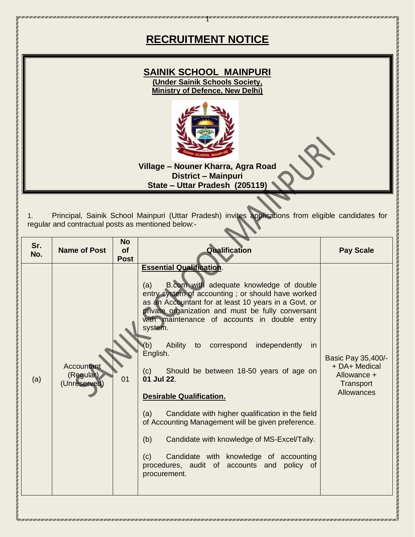# **RECRUITMENT NOTICE**

1

## **SAINIK SCHOOL MAINPURI (Under Sainik Schools Society, Ministry of Defence, New Delhi)**



**Village – Nouner Kharra, Agra Road District – Mainpuri State – Uttar Pradesh (205119)**

1. Principal, Sainik School Mainpuri (Uttar Pradesh) invites applications from eligible candidates for regular and contractual posts as mentioned below:-

| Sr.<br>No. | <b>Name of Post</b>                     | <b>No</b><br>of<br><b>Post</b> | Qualification                                                                                                                                                                                                                                                                                                                                                                                                                                                                                                                                                                                                                                                                                                                                                                   | <b>Pay Scale</b>                                                              |
|------------|-----------------------------------------|--------------------------------|---------------------------------------------------------------------------------------------------------------------------------------------------------------------------------------------------------------------------------------------------------------------------------------------------------------------------------------------------------------------------------------------------------------------------------------------------------------------------------------------------------------------------------------------------------------------------------------------------------------------------------------------------------------------------------------------------------------------------------------------------------------------------------|-------------------------------------------------------------------------------|
| (a)        | Accountant<br>(Regular)<br>(Unreserved) | 01                             | <b>Essential Qualification.</b><br>B.com with adequate knowledge of double<br>(a)<br>entry system of accounting; or should have worked<br>as an Accountant for at least 10 years in a Govt. or<br>private organization and must be fully conversant<br>with maintenance of accounts in double entry<br>system.<br>Ability<br>independently<br>(b)<br>to correspond<br>in.<br>English.<br>Should be between 18-50 years of age on<br>(c)<br>01 Jul 22.<br><b>Desirable Qualification.</b><br>(a)<br>Candidate with higher qualification in the field<br>of Accounting Management will be given preference.<br>(b)<br>Candidate with knowledge of MS-Excel/Tally.<br>Candidate with knowledge of accounting<br>(c)<br>procedures, audit of accounts and policy of<br>procurement. | Basic Pay 35,400/-<br>+ DA+ Medical<br>Allowance +<br>Transport<br>Allowances |

in a compart of the compart of the compart of the compart of the compart of the compart of the compart of the compart of the compart of the compart of the company of the company of the company of the company of the company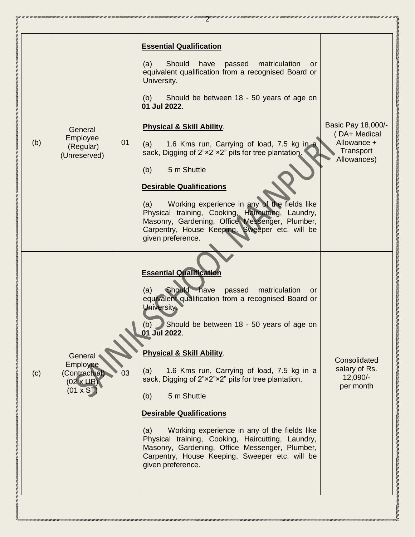| (b) | General<br>Employee<br>(Regular)<br>(Unreserved)                            | 01 | <b>Essential Qualification</b><br>Should<br>have<br>(a)<br>passed<br>matriculation<br>or<br>equivalent qualification from a recognised Board or<br>University.<br>(b)<br>Should be between 18 - 50 years of age on<br>01 Jul 2022.<br><b>Physical &amp; Skill Ability.</b><br>1.6 Kms run, Carrying of load, 7.5 kg in a<br>(a)<br>sack, Digging of 2"×2"×2" pits for tree plantation.<br>5 m Shuttle<br>(b)<br><b>Desirable Qualifications</b><br>Working experience in any of the fields like<br>(a)<br>Physical training, Cooking, Haircutting, Laundry,<br>Masonry, Gardening, Office Messenger, Plumber,<br>Carpentry, House Keeping, Sweeper etc. will be<br>given preference.    | Basic Pay 18,000/-<br>(DA+ Medical<br>Allowance +<br>Transport<br>Allowances) |
|-----|-----------------------------------------------------------------------------|----|-----------------------------------------------------------------------------------------------------------------------------------------------------------------------------------------------------------------------------------------------------------------------------------------------------------------------------------------------------------------------------------------------------------------------------------------------------------------------------------------------------------------------------------------------------------------------------------------------------------------------------------------------------------------------------------------|-------------------------------------------------------------------------------|
| (c) | General<br>Employee<br>(Contractual)<br>$(02 \times UR)$<br>$(01 \times S)$ | 03 | <b>Essential Qualification</b><br>Should have<br>(a)<br>passed<br>matriculation<br>or<br>equivalent qualification from a recognised Board or<br><b>University</b><br>Should be between 18 - 50 years of age on<br>(b)<br>01 Jul 2022.<br><b>Physical &amp; Skill Ability.</b><br>1.6 Kms run, Carrying of load, 7.5 kg in a<br>(a)<br>sack, Digging of 2"×2"×2" pits for tree plantation.<br>5 m Shuttle<br>(b)<br><b>Desirable Qualifications</b><br>Working experience in any of the fields like<br>(a)<br>Physical training, Cooking, Haircutting, Laundry,<br>Masonry, Gardening, Office Messenger, Plumber,<br>Carpentry, House Keeping, Sweeper etc. will be<br>given preference. | Consolidated<br>salary of Rs.<br>12,090/-<br>per month                        |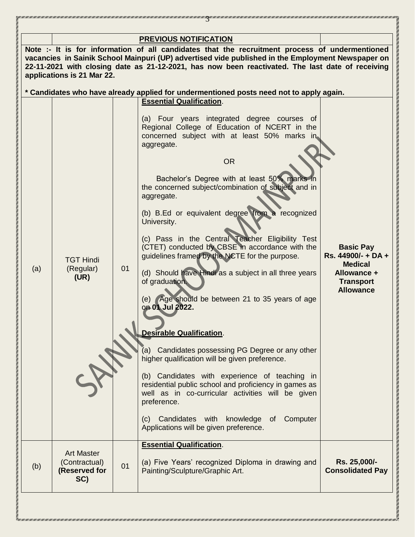|     | applications is 21 Mar 22.                                 |    | <b>PREVIOUS NOTIFICATION</b><br>Note :- It is for information of all candidates that the recruitment process of undermentioned<br>vacancies in Sainik School Mainpuri (UP) advertised vide published in the Employment Newspaper on<br>22-11-2021 with closing date as 21-12-2021, has now been reactivated. The last date of receiving                                                                                                                                                                                                                                                                                                                                                                                                                                                                                                                                                                                                                                                                                                                                                                                                                                                                                 |                                                                                                                 |
|-----|------------------------------------------------------------|----|-------------------------------------------------------------------------------------------------------------------------------------------------------------------------------------------------------------------------------------------------------------------------------------------------------------------------------------------------------------------------------------------------------------------------------------------------------------------------------------------------------------------------------------------------------------------------------------------------------------------------------------------------------------------------------------------------------------------------------------------------------------------------------------------------------------------------------------------------------------------------------------------------------------------------------------------------------------------------------------------------------------------------------------------------------------------------------------------------------------------------------------------------------------------------------------------------------------------------|-----------------------------------------------------------------------------------------------------------------|
| (a) | <b>TGT Hindi</b><br>(Regular)<br>(UR)                      | 01 | * Candidates who have already applied for undermentioned posts need not to apply again.<br><b>Essential Qualification.</b><br>(a) Four years integrated degree courses of<br>Regional College of Education of NCERT in the<br>concerned subject with at least 50% marks in<br>aggregate.<br><b>OR</b><br>Bachelor's Degree with at least 50% marks in<br>the concerned subject/combination of subject and in<br>aggregate.<br>(b) B.Ed or equivalent degree from a recognized<br>University.<br>(c) Pass in the Central Teacher Eligibility Test<br>(CTET) conducted by CBSE in accordance with the<br>guidelines framed by the NCTE for the purpose.<br>(d) Should have Hindi as a subject in all three years<br>of graduation.<br>(e) Age should be between 21 to 35 years of age<br>on 01 Jul 2022.<br><b>Desirable Qualification.</b><br>(a) Candidates possessing PG Degree or any other<br>higher qualification will be given preference.<br>(b) Candidates with experience of teaching in<br>residential public school and proficiency in games as<br>well as in co-curricular activities will be given<br>preference.<br>Candidates with knowledge of Computer<br>(C)<br>Applications will be given preference. | <b>Basic Pay</b><br>Rs. 44900/- + DA +<br><b>Medical</b><br>Allowance +<br><b>Transport</b><br><b>Allowance</b> |
| (b) | <b>Art Master</b><br>(Contractual)<br>(Reserved for<br>SC) | 01 | <b>Essential Qualification.</b><br>(a) Five Years' recognized Diploma in drawing and<br>Painting/Sculpture/Graphic Art.                                                                                                                                                                                                                                                                                                                                                                                                                                                                                                                                                                                                                                                                                                                                                                                                                                                                                                                                                                                                                                                                                                 | Rs. 25,000/-<br><b>Consolidated Pay</b>                                                                         |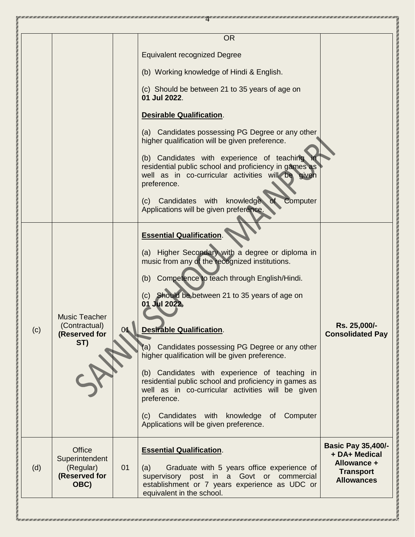|     |                                                                       |    | <b>OR</b>                                                                                                                                                                                                                                                                                                                                                                                                                                                                                                                                                                                                                                                                     |                                                                                                    |
|-----|-----------------------------------------------------------------------|----|-------------------------------------------------------------------------------------------------------------------------------------------------------------------------------------------------------------------------------------------------------------------------------------------------------------------------------------------------------------------------------------------------------------------------------------------------------------------------------------------------------------------------------------------------------------------------------------------------------------------------------------------------------------------------------|----------------------------------------------------------------------------------------------------|
|     |                                                                       |    | <b>Equivalent recognized Degree</b>                                                                                                                                                                                                                                                                                                                                                                                                                                                                                                                                                                                                                                           |                                                                                                    |
|     |                                                                       |    | (b) Working knowledge of Hindi & English.                                                                                                                                                                                                                                                                                                                                                                                                                                                                                                                                                                                                                                     |                                                                                                    |
|     |                                                                       |    | (c) Should be between 21 to 35 years of age on<br>01 Jul 2022.                                                                                                                                                                                                                                                                                                                                                                                                                                                                                                                                                                                                                |                                                                                                    |
|     |                                                                       |    | <b>Desirable Qualification.</b>                                                                                                                                                                                                                                                                                                                                                                                                                                                                                                                                                                                                                                               |                                                                                                    |
|     |                                                                       |    | (a) Candidates possessing PG Degree or any other<br>higher qualification will be given preference.                                                                                                                                                                                                                                                                                                                                                                                                                                                                                                                                                                            |                                                                                                    |
|     |                                                                       |    | (b) Candidates with experience of teaching<br>residential public school and proficiency in games as<br>well as in co-curricular activities will be given<br>preference.                                                                                                                                                                                                                                                                                                                                                                                                                                                                                                       |                                                                                                    |
|     |                                                                       |    | Candidates with<br>knowledge<br>of<br>Computer<br>(c)<br>Applications will be given preference.                                                                                                                                                                                                                                                                                                                                                                                                                                                                                                                                                                               |                                                                                                    |
| (c) | <b>Music Teacher</b><br>(Contractual)<br>(Reserved for<br>ST)         |    | <b>Essential Qualification.</b><br>(a) Higher Secondary with a degree or diploma in<br>music from any of the recognized institutions.<br>Competence to teach through English/Hindi.<br>(b)<br>(c) Should be between 21 to 35 years of age on<br>01 Jul 2022.<br><b>Desirable Qualification.</b><br>(a) Candidates possessing PG Degree or any other<br>higher qualification will be given preference.<br>(b) Candidates with experience of teaching in<br>residential public school and proficiency in games as<br>well as in co-curricular activities will be given<br>preference.<br>Candidates with knowledge of Computer<br>(c)<br>Applications will be given preference. | Rs. 25,000/-<br><b>Consolidated Pay</b>                                                            |
| (d) | <b>Office</b><br>Superintendent<br>(Regular)<br>(Reserved for<br>OBC) | 01 | <b>Essential Qualification.</b><br>(a)<br>Graduate with 5 years office experience of<br>supervisory post in a Govt or commercial<br>establishment or 7 years experience as UDC or<br>equivalent in the school.                                                                                                                                                                                                                                                                                                                                                                                                                                                                | <b>Basic Pay 35,400/-</b><br>+ DA+ Medical<br>Allowance +<br><b>Transport</b><br><b>Allowances</b> |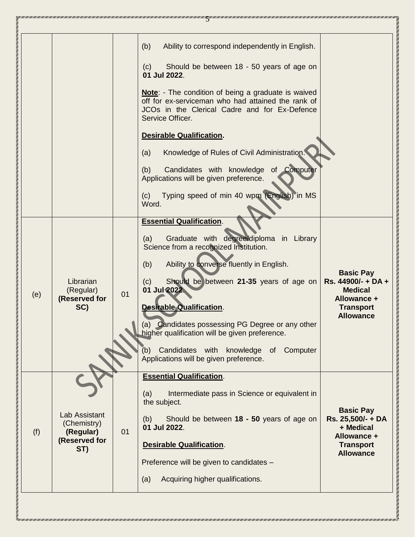|     |                                                                   |    | (b)<br>Ability to correspond independently in English.<br>Should be between 18 - 50 years of age on<br>(c)<br>01 Jul 2022.<br><b>Note:</b> - The condition of being a graduate is waived<br>off for ex-serviceman who had attained the rank of<br>JCOs in the Clerical Cadre and for Ex-Defence<br>Service Officer.<br><b>Desirable Qualification.</b><br>Knowledge of Rules of Civil Administration.<br>(a)<br>of Computer<br>Candidates with knowledge<br>(b)<br>Applications will be given preference.<br>Typing speed of min 40 wpm (English) in MS<br>(c)<br>Word. |                                                                                                                 |
|-----|-------------------------------------------------------------------|----|-------------------------------------------------------------------------------------------------------------------------------------------------------------------------------------------------------------------------------------------------------------------------------------------------------------------------------------------------------------------------------------------------------------------------------------------------------------------------------------------------------------------------------------------------------------------------|-----------------------------------------------------------------------------------------------------------------|
| (e) | Librarian<br>(Regular)<br>(Reserved for<br>SC)                    | 01 | <b>Essential Qualification.</b><br>Graduate with degree/diploma in Library<br>(a)<br>Science from a recognized Institution.<br>Ability to converse fluently in English.<br>(b)<br>Should be between 21-35 years of age on<br>(c)<br>01 Jul 2022<br>Desirable Qualification.<br>(a) Candidates possessing PG Degree or any other<br>higher qualification will be given preference.<br>Candidates with knowledge of Computer<br>(b)<br>Applications will be given preference.                                                                                             | <b>Basic Pay</b><br>Rs. 44900/- + DA +<br><b>Medical</b><br>Allowance +<br><b>Transport</b><br><b>Allowance</b> |
| (f) | Lab Assistant<br>(Chemistry)<br>(Regular)<br>(Reserved for<br>ST) | 01 | <b>Essential Qualification.</b><br>Intermediate pass in Science or equivalent in<br>(a)<br>the subject.<br>Should be between 18 - 50 years of age on<br>(b)<br>01 Jul 2022.<br><b>Desirable Qualification.</b><br>Preference will be given to candidates -<br>Acquiring higher qualifications.<br>(a)                                                                                                                                                                                                                                                                   | <b>Basic Pay</b><br>Rs. 25,500/- + DA<br>+ Medical<br>Allowance +<br><b>Transport</b><br><b>Allowance</b>       |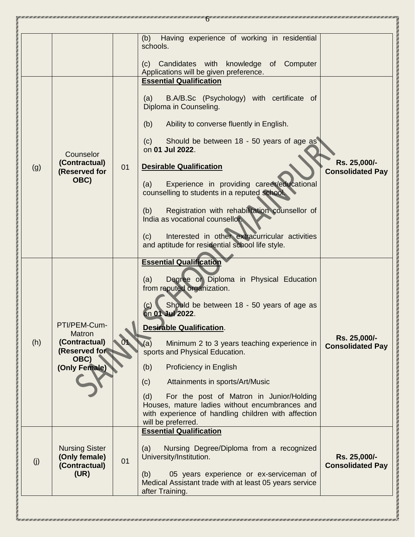|     |                                                                                          |    | Having experience of working in residential<br>(b)<br>schools.<br>(c) Candidates with<br>knowledge of Computer<br>Applications will be given preference.<br><b>Essential Qualification</b>                                                                                                                                                                                                                                                                                                                                                                                    |                                         |
|-----|------------------------------------------------------------------------------------------|----|-------------------------------------------------------------------------------------------------------------------------------------------------------------------------------------------------------------------------------------------------------------------------------------------------------------------------------------------------------------------------------------------------------------------------------------------------------------------------------------------------------------------------------------------------------------------------------|-----------------------------------------|
| (g) | Counselor<br>(Contractual)<br>(Reserved for<br>OBC)                                      | 01 | B.A/B.Sc (Psychology) with certificate of<br>(a)<br>Diploma in Counseling.<br>(b)<br>Ability to converse fluently in English.<br>Should be between 18 - 50 years of age as<br>(c)<br>on 01 Jul 2022.<br><b>Desirable Qualification</b><br>Experience in providing career/educational<br>(a)<br>counselling to students in a reputed school.<br>Registration with rehabilitation counsellor of<br>(b)<br>India as vocational counsellor.<br>Interested in other extracurricular activities<br>(c)<br>and aptitude for residential school life style.                           | Rs. 25,000/-<br><b>Consolidated Pay</b> |
| (h) | PTI/PEM-Cum-<br><b>Matron</b><br>(Contractual)<br>(Reserved for<br>OBC)<br>(Only Female) |    | <b>Essential Qualification</b><br>Degree or Diploma in Physical Education<br>(a)<br>from reputed organization.<br>Should be between 18 - 50 years of age as<br>on 01 Jul 2022.<br><b>Desirable Qualification.</b><br>(a)<br>Minimum 2 to 3 years teaching experience in<br>sports and Physical Education.<br>(b)<br><b>Proficiency in English</b><br>(c)<br>Attainments in sports/Art/Music<br>For the post of Matron in Junior/Holding<br>(d)<br>Houses, mature ladies without encumbrances and<br>with experience of handling children with affection<br>will be preferred. | Rs. 25,000/-<br><b>Consolidated Pay</b> |
| (j) | <b>Nursing Sister</b><br>(Only female)<br>(Contractual)<br>(UR)                          | 01 | <b>Essential Qualification</b><br>(a)<br>Nursing Degree/Diploma from a recognized<br>University/Institution.<br>05 years experience or ex-serviceman of<br>(b)<br>Medical Assistant trade with at least 05 years service<br>after Training.                                                                                                                                                                                                                                                                                                                                   | Rs. 25,000/-<br><b>Consolidated Pay</b> |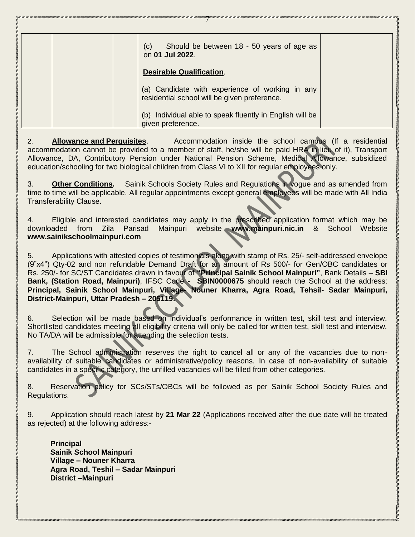| Should be between 18 - 50 years of age as<br>(c)<br>on 01 Jul 2022.                             |  |
|-------------------------------------------------------------------------------------------------|--|
| <b>Desirable Qualification.</b>                                                                 |  |
| (a) Candidate with experience of working in any<br>residential school will be given preference. |  |
| Individual able to speak fluently in English will be<br>(b)<br>given preference.                |  |

2. **Allowance and Perquisites**. Accommodation inside the school campus (If a residential accommodation cannot be provided to a member of staff, he/she will be paid HRA in lieu of it), Transport Allowance, DA, Contributory Pension under National Pension Scheme, Medical Allowance, subsidized education/schooling for two biological children from Class VI to XII for regular employees only.

3. **Other Conditions.** Sainik Schools Society Rules and Regulations in vogue and as amended from time to time will be applicable. All regular appointments except general employees will be made with All India Transferability Clause.

4. Eligible and interested candidates may apply in the prescribed application format which may be downloaded from Zila Parisad Mainpuri website **www.mainpuri.nic.in** & School Website **www.sainikschoolmainpuri.com**

5. Applications with attested copies of testimonials along with stamp of Rs. 25/- self-addressed envelope (9"x4") Qty-02 and non refundable Demand Draft for an amount of Rs 500/- for Gen/OBC candidates or Rs. 250/- for SC/ST Candidates drawn in favour of **"Principal Sainik School Mainpuri"**, Bank Details – **SBI Bank, (Station Road, Mainpuri)**, IFSC Code - **SBIN0000675** should reach the School at the address: **Principal, Sainik School Mainpuri, Village- Nouner Kharra, Agra Road, Tehsil- Sadar Mainpuri, District-Mainpuri, Uttar Pradesh – 205119.**

6. Selection will be made based on individual's performance in written test, skill test and interview. Shortlisted candidates meeting all eligibility criteria will only be called for written test, skill test and interview. No TA/DA will be admissible for attending the selection tests.

7. The School administration reserves the right to cancel all or any of the vacancies due to nonavailability of suitable candidates or administrative/policy reasons. In case of non-availability of suitable candidates in a specific category, the unfilled vacancies will be filled from other categories.

8. Reservation policy for SCs/STs/OBCs will be followed as per Sainik School Society Rules and Regulations.

9. Application should reach latest by **21 Mar 22** (Applications received after the due date will be treated as rejected) at the following address:-

 **Principal Sainik School Mainpuri Village – Nouner Kharra Agra Road, Teshil – Sadar Mainpuri District –Mainpuri**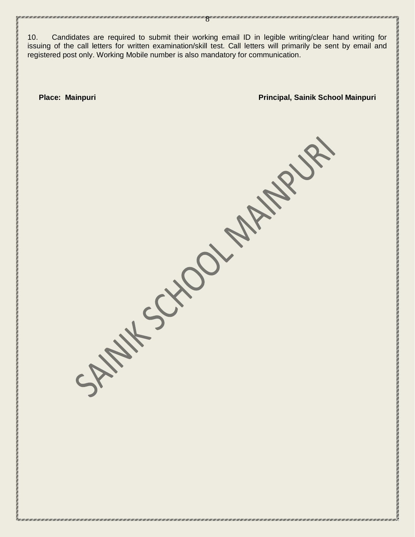10. Candidates are required to submit their working email ID in legible writing/clear hand writing for issuing of the call letters for written examination/skill test. Call letters will primarily be sent by email and registered post only. Working Mobile number is also mandatory for communication.

SATAINTS CHOCK ARTISTS

TERESI DENGAN SERIESI SENTESTIKA SENTESTIKA SENTESTIKA SENTESTIKA SENTESTIKA SENTESTIKA SENTESTIKA SENTESTIKA SENTESTIKA SENTESTIKA SENTESTIKA SENTESTIKA SENTESTIKA SENTESTIKA SENTESTIKA SENTESTIKA SENTESTIKA SENTESTIKA SE

8

**Place: Mainpuri Principal, Sainik School Mainpuri**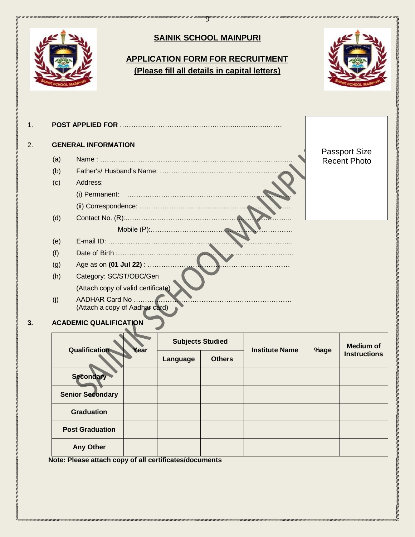

| Qualification<br>Year   |          | <b>Subjects Studied</b> | <b>Institute Name</b> |      | <b>Medium of</b>    |
|-------------------------|----------|-------------------------|-----------------------|------|---------------------|
|                         | Language | <b>Others</b>           |                       | %age | <b>Instructions</b> |
| Secondary               |          |                         |                       |      |                     |
| <b>Senior Secondary</b> |          |                         |                       |      |                     |
| <b>Graduation</b>       |          |                         |                       |      |                     |
| <b>Post Graduation</b>  |          |                         |                       |      |                     |
| <b>Any Other</b>        |          |                         |                       |      |                     |

 **Note: Please attach copy of all certificates/documents**

MINI INTERESTATE DA INTERESTATE DE LA TERRA DE DE LA MINI DE LA TERRA DE LA TERRA DE LA TERRA DE LA TERRA DEL